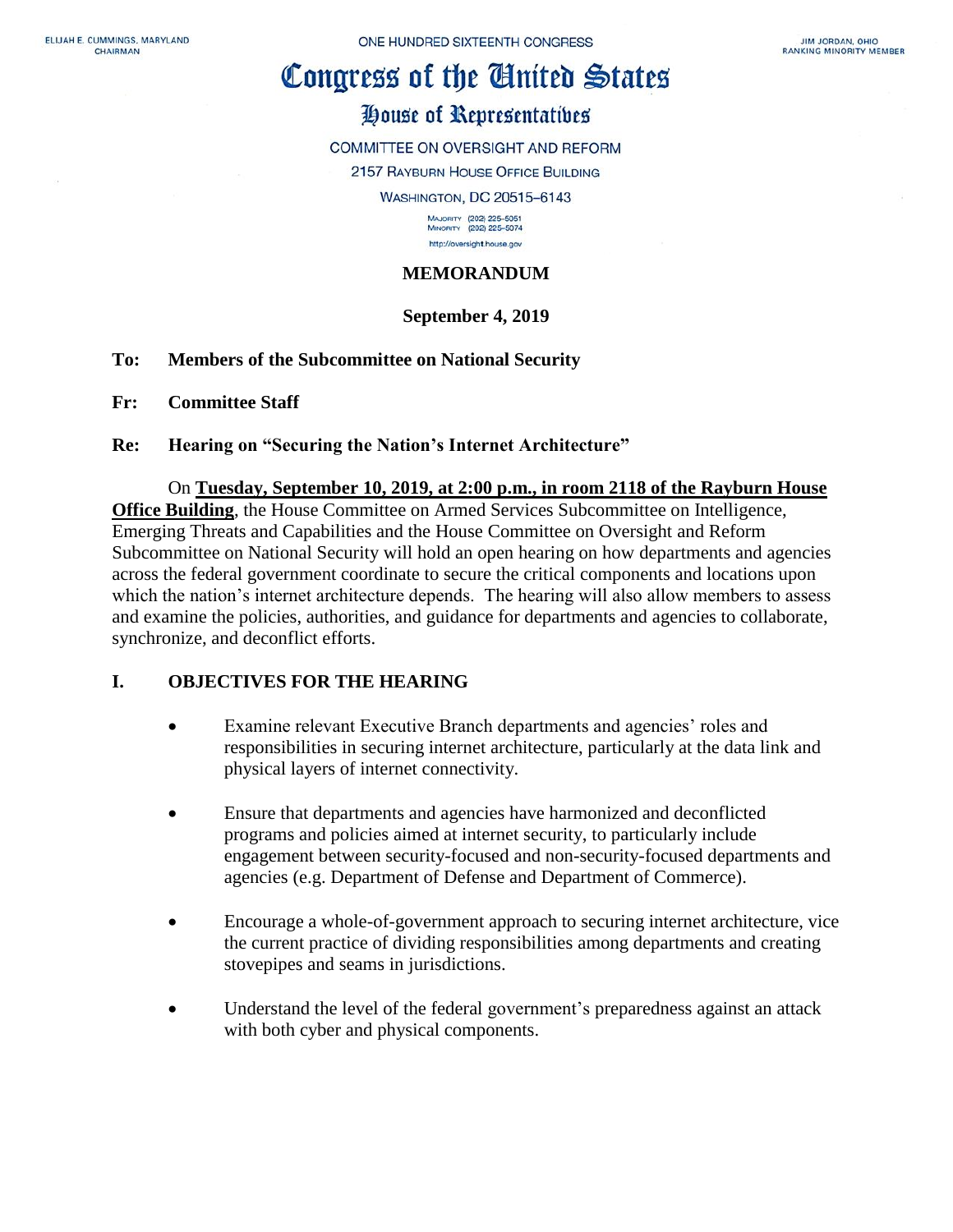# Congress of the Ginited States

# House of Representatives

COMMITTEE ON OVERSIGHT AND REFORM

2157 RAYBURN HOUSE OFFICE BUILDING

WASHINGTON, DC 20515-6143

MAJORITY (202) 225-5051<br>MINORITY (202) 225-5074 http://oversight.house.gov

## **MEMORANDUM**

## **September 4, 2019**

## **To: Members of the Subcommittee on National Security**

- **Fr: Committee Staff**
- **Re: Hearing on "Securing the Nation's Internet Architecture"**

#### On **Tuesday, September 10, 2019, at 2:00 p.m., in room 2118 of the Rayburn House**

**Office Building**, the House Committee on Armed Services Subcommittee on Intelligence, Emerging Threats and Capabilities and the House Committee on Oversight and Reform Subcommittee on National Security will hold an open hearing on how departments and agencies across the federal government coordinate to secure the critical components and locations upon which the nation's internet architecture depends. The hearing will also allow members to assess and examine the policies, authorities, and guidance for departments and agencies to collaborate, synchronize, and deconflict efforts.

## **I. OBJECTIVES FOR THE HEARING**

- Examine relevant Executive Branch departments and agencies' roles and responsibilities in securing internet architecture, particularly at the data link and physical layers of internet connectivity.
- Ensure that departments and agencies have harmonized and deconflicted programs and policies aimed at internet security, to particularly include engagement between security-focused and non-security-focused departments and agencies (e.g. Department of Defense and Department of Commerce).
- Encourage a whole-of-government approach to securing internet architecture, vice the current practice of dividing responsibilities among departments and creating stovepipes and seams in jurisdictions.
- Understand the level of the federal government's preparedness against an attack with both cyber and physical components.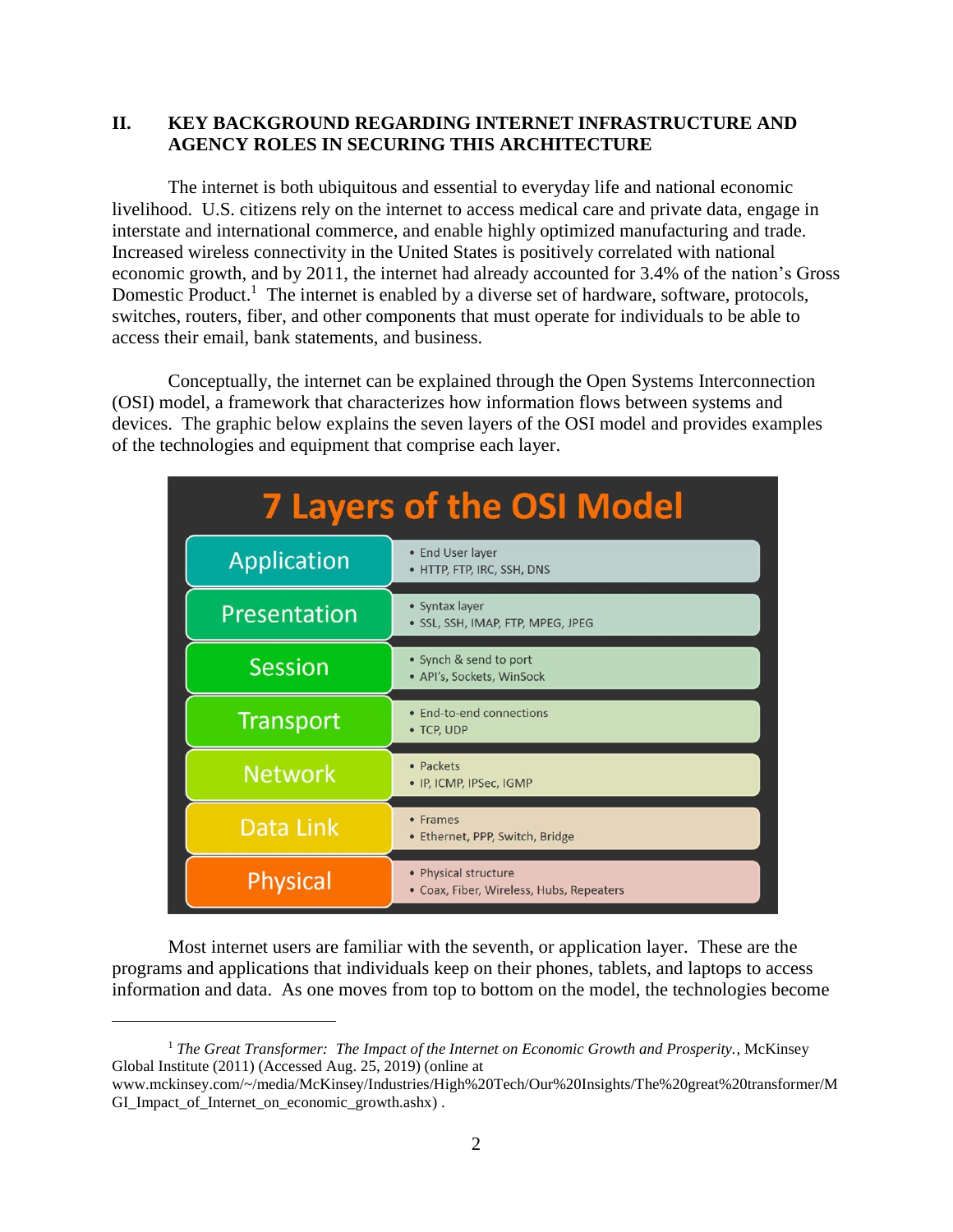## **II. KEY BACKGROUND REGARDING INTERNET INFRASTRUCTURE AND AGENCY ROLES IN SECURING THIS ARCHITECTURE**

The internet is both ubiquitous and essential to everyday life and national economic livelihood. U.S. citizens rely on the internet to access medical care and private data, engage in interstate and international commerce, and enable highly optimized manufacturing and trade. Increased wireless connectivity in the United States is positively correlated with national economic growth, and by 2011, the internet had already accounted for 3.4% of the nation's Gross Domestic Product.<sup>1</sup> The internet is enabled by a diverse set of hardware, software, protocols, switches, routers, fiber, and other components that must operate for individuals to be able to access their email, bank statements, and business.

Conceptually, the internet can be explained through the Open Systems Interconnection (OSI) model, a framework that characterizes how information flows between systems and devices. The graphic below explains the seven layers of the OSI model and provides examples of the technologies and equipment that comprise each layer.

| <b>7 Layers of the OSI Model</b> |                                                                  |
|----------------------------------|------------------------------------------------------------------|
| <b>Application</b>               | • End User layer<br>• HTTP, FTP, IRC, SSH, DNS                   |
| Presentation                     | · Syntax layer<br>· SSL, SSH, IMAP, FTP, MPEG, JPEG              |
| <b>Session</b>                   | • Synch & send to port<br>• API's, Sockets, WinSock              |
| <b>Transport</b>                 | • End-to-end connections<br>• TCP, UDP                           |
| <b>Network</b>                   | • Packets<br>• IP, ICMP, IPSec, IGMP                             |
| Data Link                        | • Frames<br>• Ethernet, PPP, Switch, Bridge                      |
| Physical                         | • Physical structure<br>• Coax, Fiber, Wireless, Hubs, Repeaters |

Most internet users are familiar with the seventh, or application layer. These are the programs and applications that individuals keep on their phones, tablets, and laptops to access information and data. As one moves from top to bottom on the model, the technologies become

 $\overline{a}$ 

<sup>1</sup> *The Great Transformer: The Impact of the Internet on Economic Growth and Prosperity.,* McKinsey Global Institute (2011) (Accessed Aug. 25, 2019) (online at

www.mckinsey.com/~/media/McKinsey/Industries/High%20Tech/Our%20Insights/The%20great%20transformer/M GI\_Impact\_of\_Internet\_on\_economic\_growth.ashx) .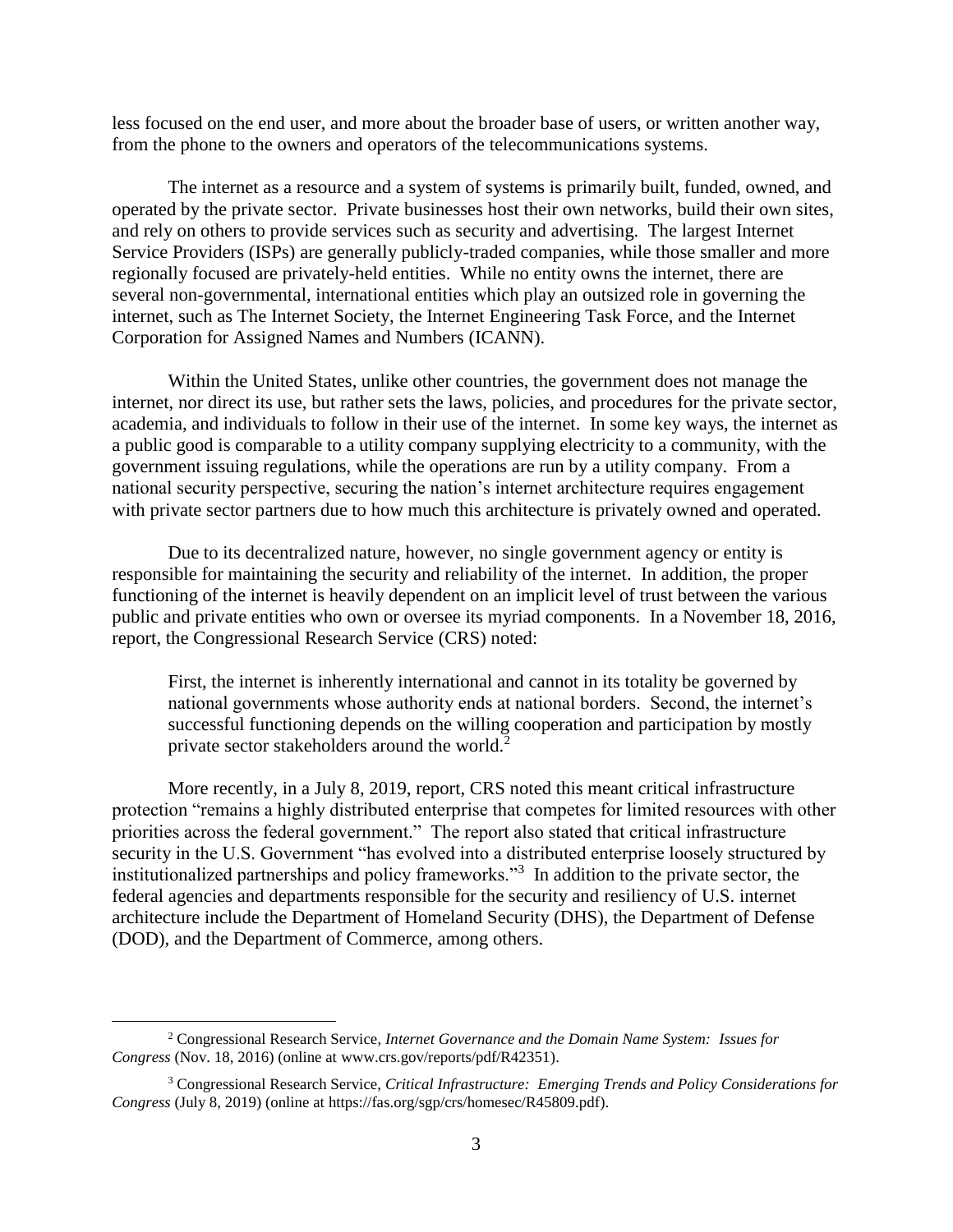less focused on the end user, and more about the broader base of users, or written another way, from the phone to the owners and operators of the telecommunications systems.

The internet as a resource and a system of systems is primarily built, funded, owned, and operated by the private sector. Private businesses host their own networks, build their own sites, and rely on others to provide services such as security and advertising. The largest Internet Service Providers (ISPs) are generally publicly-traded companies, while those smaller and more regionally focused are privately-held entities. While no entity owns the internet, there are several non-governmental, international entities which play an outsized role in governing the internet, such as The Internet Society, the Internet Engineering Task Force, and the Internet Corporation for Assigned Names and Numbers (ICANN).

Within the United States, unlike other countries, the government does not manage the internet, nor direct its use, but rather sets the laws, policies, and procedures for the private sector, academia, and individuals to follow in their use of the internet. In some key ways, the internet as a public good is comparable to a utility company supplying electricity to a community, with the government issuing regulations, while the operations are run by a utility company. From a national security perspective, securing the nation's internet architecture requires engagement with private sector partners due to how much this architecture is privately owned and operated.

Due to its decentralized nature, however, no single government agency or entity is responsible for maintaining the security and reliability of the internet. In addition, the proper functioning of the internet is heavily dependent on an implicit level of trust between the various public and private entities who own or oversee its myriad components. In a November 18, 2016, report, the Congressional Research Service (CRS) noted:

First, the internet is inherently international and cannot in its totality be governed by national governments whose authority ends at national borders. Second, the internet's successful functioning depends on the willing cooperation and participation by mostly private sector stakeholders around the world.<sup>2</sup>

More recently, in a July 8, 2019, report, CRS noted this meant critical infrastructure protection "remains a highly distributed enterprise that competes for limited resources with other priorities across the federal government." The report also stated that critical infrastructure security in the U.S. Government "has evolved into a distributed enterprise loosely structured by institutionalized partnerships and policy frameworks."<sup>3</sup> In addition to the private sector, the federal agencies and departments responsible for the security and resiliency of U.S. internet architecture include the Department of Homeland Security (DHS), the Department of Defense (DOD), and the Department of Commerce, among others.

 $\overline{a}$ 

<sup>2</sup> Congressional Research Service*, Internet Governance and the Domain Name System: Issues for Congress* (Nov. 18, 2016) (online at www.crs.gov/reports/pdf/R42351).

<sup>3</sup> Congressional Research Service, *Critical Infrastructure: Emerging Trends and Policy Considerations for Congress* (July 8, 2019) (online at https://fas.org/sgp/crs/homesec/R45809.pdf).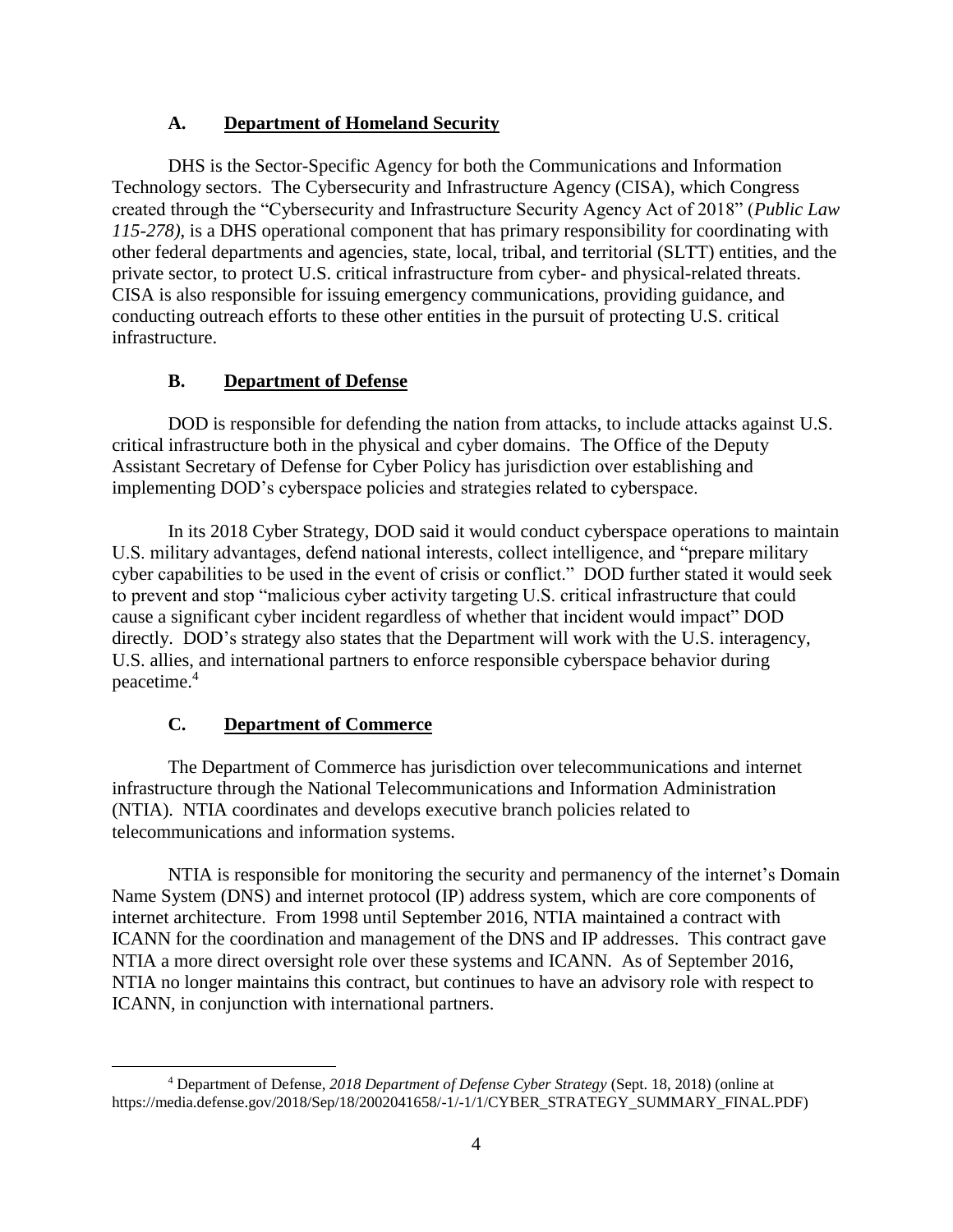## **A. Department of Homeland Security**

DHS is the Sector-Specific Agency for both the Communications and Information Technology sectors. The Cybersecurity and Infrastructure Agency (CISA), which Congress created through the "Cybersecurity and Infrastructure Security Agency Act of 2018" (*Public Law 115-278)*, is a DHS operational component that has primary responsibility for coordinating with other federal departments and agencies, state, local, tribal, and territorial (SLTT) entities, and the private sector, to protect U.S. critical infrastructure from cyber- and physical-related threats. CISA is also responsible for issuing emergency communications, providing guidance, and conducting outreach efforts to these other entities in the pursuit of protecting U.S. critical infrastructure.

## **B. Department of Defense**

DOD is responsible for defending the nation from attacks, to include attacks against U.S. critical infrastructure both in the physical and cyber domains. The Office of the Deputy Assistant Secretary of Defense for Cyber Policy has jurisdiction over establishing and implementing DOD's cyberspace policies and strategies related to cyberspace.

In its 2018 Cyber Strategy, DOD said it would conduct cyberspace operations to maintain U.S. military advantages, defend national interests, collect intelligence, and "prepare military cyber capabilities to be used in the event of crisis or conflict." DOD further stated it would seek to prevent and stop "malicious cyber activity targeting U.S. critical infrastructure that could cause a significant cyber incident regardless of whether that incident would impact" DOD directly. DOD's strategy also states that the Department will work with the U.S. interagency, U.S. allies, and international partners to enforce responsible cyberspace behavior during peacetime.<sup>4</sup>

## **C. Department of Commerce**

 $\overline{a}$ 

The Department of Commerce has jurisdiction over telecommunications and internet infrastructure through the National Telecommunications and Information Administration (NTIA). NTIA coordinates and develops executive branch policies related to telecommunications and information systems.

NTIA is responsible for monitoring the security and permanency of the internet's Domain Name System (DNS) and internet protocol (IP) address system, which are core components of internet architecture. From 1998 until September 2016, NTIA maintained a contract with ICANN for the coordination and management of the DNS and IP addresses. This contract gave NTIA a more direct oversight role over these systems and ICANN. As of September 2016, NTIA no longer maintains this contract, but continues to have an advisory role with respect to ICANN, in conjunction with international partners.

<sup>4</sup> Department of Defense, *2018 Department of Defense Cyber Strategy* (Sept. 18, 2018) (online at https://media.defense.gov/2018/Sep/18/2002041658/-1/-1/1/CYBER\_STRATEGY\_SUMMARY\_FINAL.PDF)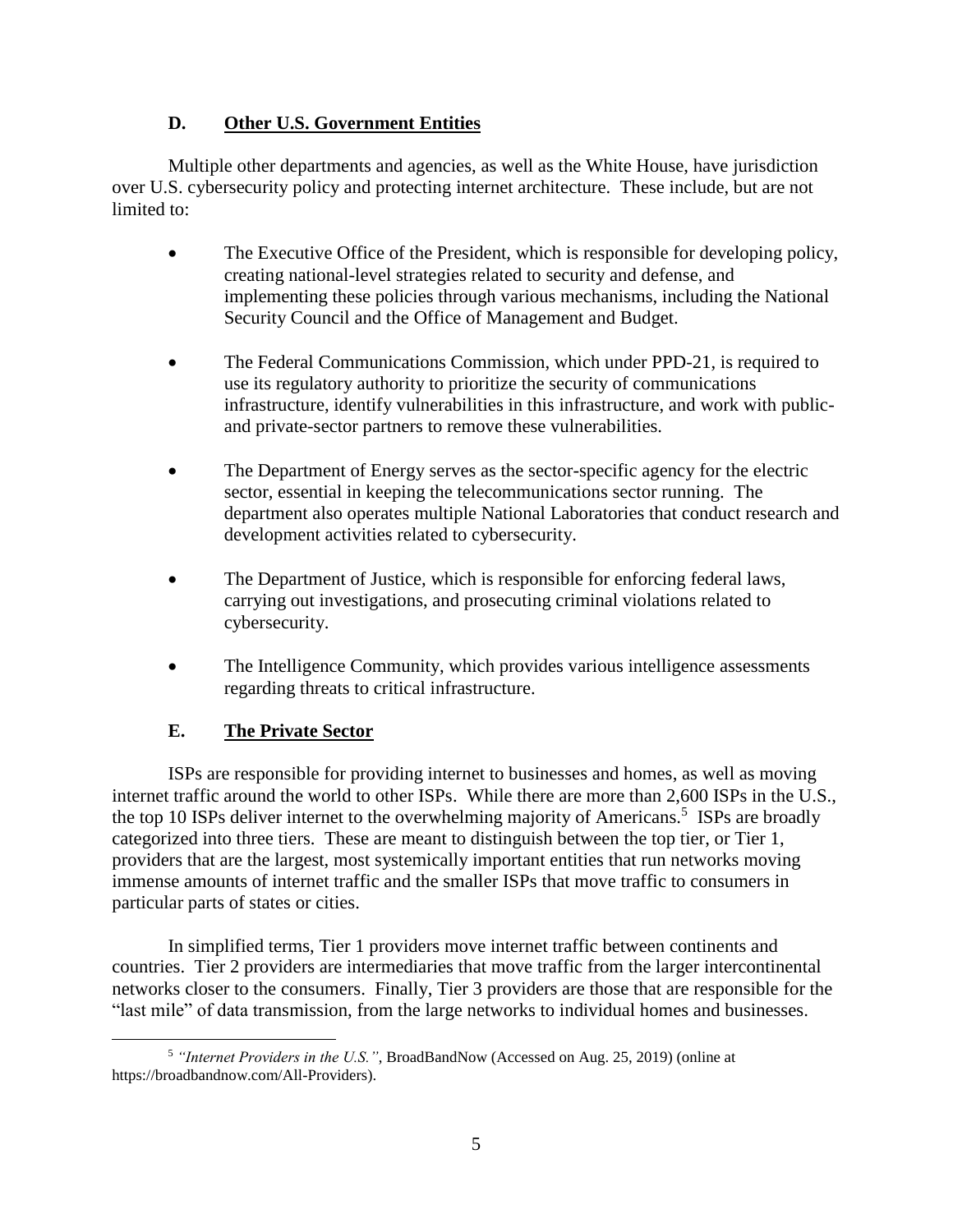## **D. Other U.S. Government Entities**

Multiple other departments and agencies, as well as the White House, have jurisdiction over U.S. cybersecurity policy and protecting internet architecture. These include, but are not limited to:

- The Executive Office of the President, which is responsible for developing policy, creating national-level strategies related to security and defense, and implementing these policies through various mechanisms, including the National Security Council and the Office of Management and Budget.
- The Federal Communications Commission, which under PPD-21, is required to use its regulatory authority to prioritize the security of communications infrastructure, identify vulnerabilities in this infrastructure, and work with publicand private-sector partners to remove these vulnerabilities.
- The Department of Energy serves as the sector-specific agency for the electric sector, essential in keeping the telecommunications sector running. The department also operates multiple National Laboratories that conduct research and development activities related to cybersecurity.
- The Department of Justice, which is responsible for enforcing federal laws, carrying out investigations, and prosecuting criminal violations related to cybersecurity.
- The Intelligence Community, which provides various intelligence assessments regarding threats to critical infrastructure.

## **E. The Private Sector**

ISPs are responsible for providing internet to businesses and homes, as well as moving internet traffic around the world to other ISPs. While there are more than 2,600 ISPs in the U.S., the top 10 ISPs deliver internet to the overwhelming majority of Americans.<sup>5</sup> ISPs are broadly categorized into three tiers. These are meant to distinguish between the top tier, or Tier 1, providers that are the largest, most systemically important entities that run networks moving immense amounts of internet traffic and the smaller ISPs that move traffic to consumers in particular parts of states or cities.

In simplified terms, Tier 1 providers move internet traffic between continents and countries. Tier 2 providers are intermediaries that move traffic from the larger intercontinental networks closer to the consumers. Finally, Tier 3 providers are those that are responsible for the "last mile" of data transmission, from the large networks to individual homes and businesses.

 $\overline{a}$ <sup>5</sup> *"Internet Providers in the U.S."*, BroadBandNow (Accessed on Aug. 25, 2019) (online at https://broadbandnow.com/All-Providers).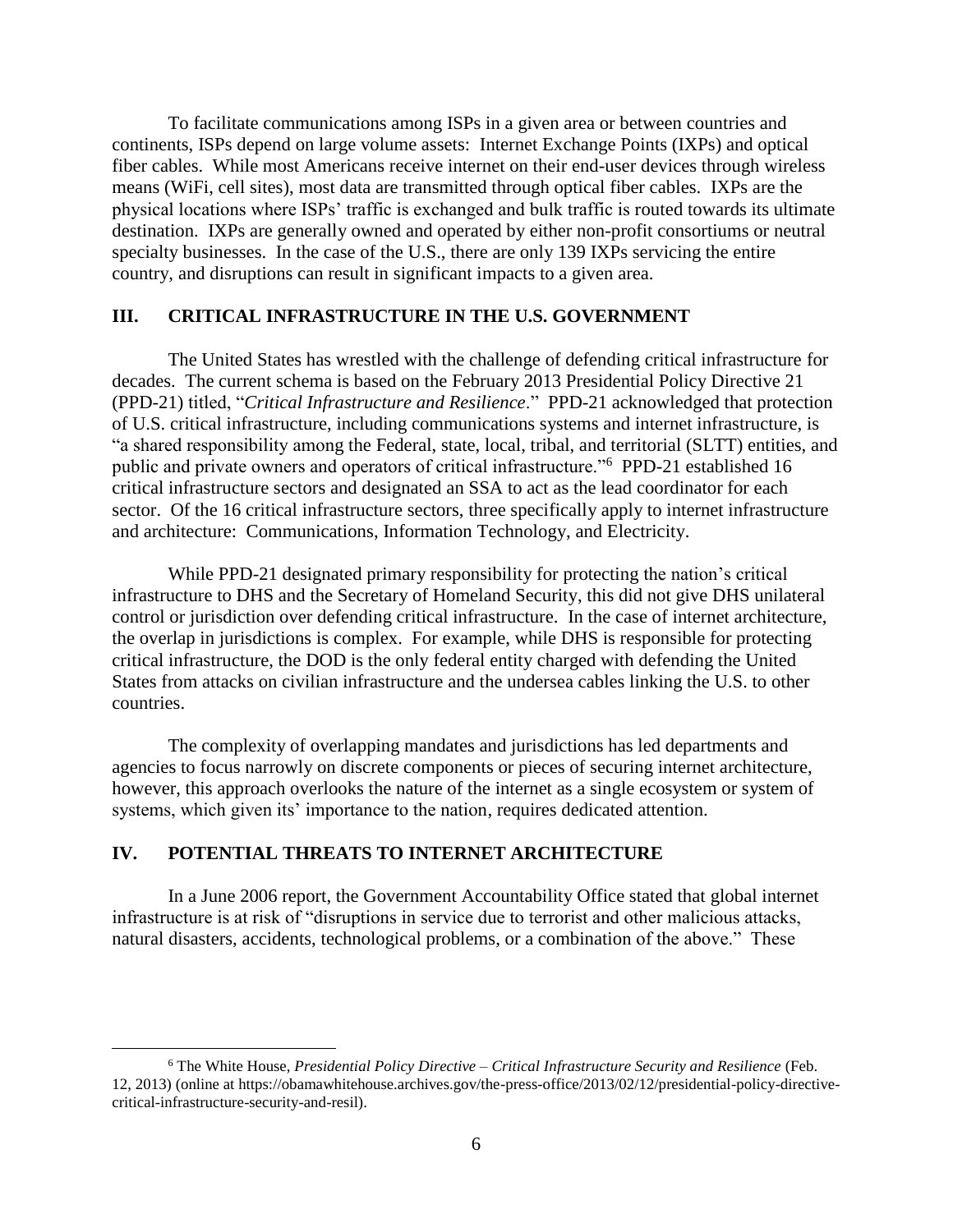To facilitate communications among ISPs in a given area or between countries and continents, ISPs depend on large volume assets: Internet Exchange Points (IXPs) and optical fiber cables. While most Americans receive internet on their end-user devices through wireless means (WiFi, cell sites), most data are transmitted through optical fiber cables. IXPs are the physical locations where ISPs' traffic is exchanged and bulk traffic is routed towards its ultimate destination. IXPs are generally owned and operated by either non-profit consortiums or neutral specialty businesses. In the case of the U.S., there are only 139 IXPs servicing the entire country, and disruptions can result in significant impacts to a given area.

#### **III. CRITICAL INFRASTRUCTURE IN THE U.S. GOVERNMENT**

The United States has wrestled with the challenge of defending critical infrastructure for decades. The current schema is based on the February 2013 Presidential Policy Directive 21 (PPD-21) titled, "*Critical Infrastructure and Resilience*." PPD-21 acknowledged that protection of U.S. critical infrastructure, including communications systems and internet infrastructure, is "a shared responsibility among the Federal, state, local, tribal, and territorial (SLTT) entities, and public and private owners and operators of critical infrastructure."<sup>6</sup> PPD-21 established 16 critical infrastructure sectors and designated an SSA to act as the lead coordinator for each sector. Of the 16 critical infrastructure sectors, three specifically apply to internet infrastructure and architecture: Communications, Information Technology, and Electricity.

While PPD-21 designated primary responsibility for protecting the nation's critical infrastructure to DHS and the Secretary of Homeland Security, this did not give DHS unilateral control or jurisdiction over defending critical infrastructure. In the case of internet architecture, the overlap in jurisdictions is complex. For example, while DHS is responsible for protecting critical infrastructure, the DOD is the only federal entity charged with defending the United States from attacks on civilian infrastructure and the undersea cables linking the U.S. to other countries.

The complexity of overlapping mandates and jurisdictions has led departments and agencies to focus narrowly on discrete components or pieces of securing internet architecture, however, this approach overlooks the nature of the internet as a single ecosystem or system of systems, which given its' importance to the nation, requires dedicated attention.

## **IV. POTENTIAL THREATS TO INTERNET ARCHITECTURE**

 $\overline{a}$ 

In a June 2006 report, the Government Accountability Office stated that global internet infrastructure is at risk of "disruptions in service due to terrorist and other malicious attacks, natural disasters, accidents, technological problems, or a combination of the above." These

<sup>6</sup> The White House, *Presidential Policy Directive – Critical Infrastructure Security and Resilience* (Feb. 12, 2013) (online at https://obamawhitehouse.archives.gov/the-press-office/2013/02/12/presidential-policy-directivecritical-infrastructure-security-and-resil).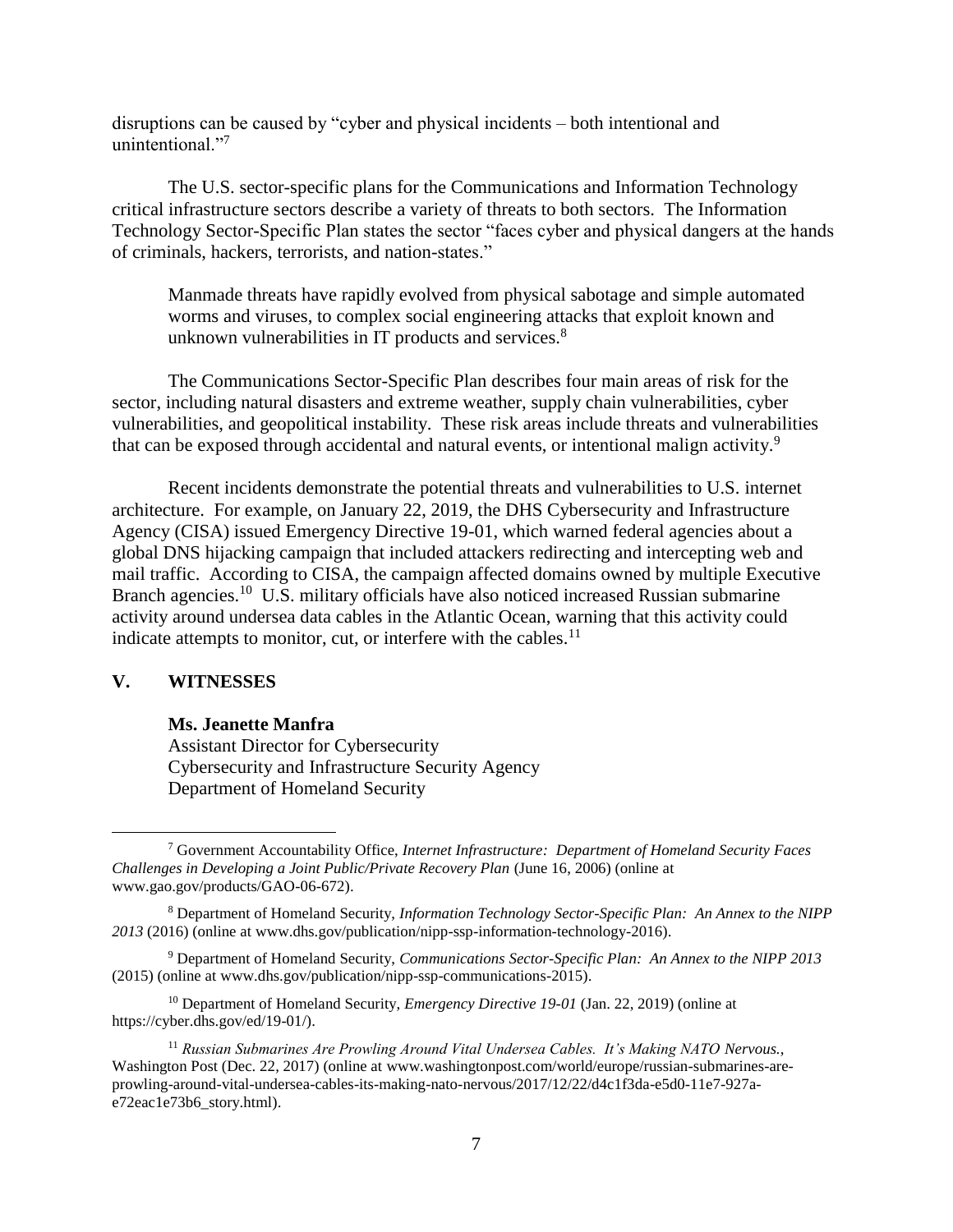disruptions can be caused by "cyber and physical incidents – both intentional and unintentional."

The U.S. sector-specific plans for the Communications and Information Technology critical infrastructure sectors describe a variety of threats to both sectors. The Information Technology Sector-Specific Plan states the sector "faces cyber and physical dangers at the hands of criminals, hackers, terrorists, and nation-states."

Manmade threats have rapidly evolved from physical sabotage and simple automated worms and viruses, to complex social engineering attacks that exploit known and unknown vulnerabilities in IT products and services. $8$ 

The Communications Sector-Specific Plan describes four main areas of risk for the sector, including natural disasters and extreme weather, supply chain vulnerabilities, cyber vulnerabilities, and geopolitical instability. These risk areas include threats and vulnerabilities that can be exposed through accidental and natural events, or intentional malign activity.<sup>9</sup>

Recent incidents demonstrate the potential threats and vulnerabilities to U.S. internet architecture. For example, on January 22, 2019, the DHS Cybersecurity and Infrastructure Agency (CISA) issued Emergency Directive 19-01, which warned federal agencies about a global DNS hijacking campaign that included attackers redirecting and intercepting web and mail traffic. According to CISA, the campaign affected domains owned by multiple Executive Branch agencies.<sup>10</sup> U.S. military officials have also noticed increased Russian submarine activity around undersea data cables in the Atlantic Ocean, warning that this activity could indicate attempts to monitor, cut, or interfere with the cables. $^{11}$ 

#### **V. WITNESSES**

 $\overline{a}$ 

#### **Ms. Jeanette Manfra**

Assistant Director for Cybersecurity Cybersecurity and Infrastructure Security Agency Department of Homeland Security

<sup>10</sup> Department of Homeland Security, *Emergency Directive 19-01* (Jan. 22, 2019) (online at https://cyber.dhs.gov/ed/19-01/).

<sup>7</sup> Government Accountability Office, *Internet Infrastructure: Department of Homeland Security Faces Challenges in Developing a Joint Public/Private Recovery Plan* (June 16, 2006) (online at www.gao.gov/products/GAO-06-672).

<sup>8</sup> Department of Homeland Security, *Information Technology Sector-Specific Plan: An Annex to the NIPP 2013* (2016) (online at www.dhs.gov/publication/nipp-ssp-information-technology-2016).

<sup>9</sup> Department of Homeland Security, *Communications Sector-Specific Plan: An Annex to the NIPP 2013* (2015) (online at www.dhs.gov/publication/nipp-ssp-communications-2015).

<sup>&</sup>lt;sup>11</sup> Russian Submarines Are Prowling Around Vital Undersea Cables. It's Making NATO Nervous., Washington Post (Dec. 22, 2017) (online at www.washingtonpost.com/world/europe/russian-submarines-areprowling-around-vital-undersea-cables-its-making-nato-nervous/2017/12/22/d4c1f3da-e5d0-11e7-927ae72eac1e73b6\_story.html).